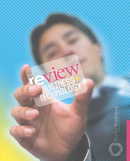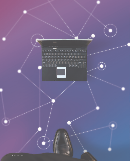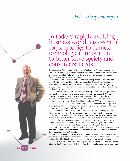## technically entrepreneurs B Y KRISTIN TODD



In today's rapidly evolving<br>business world, it is essential for companies to harness technological innovation to better serve society and consumers' needs.

That is exactly Greg Leman's vision for his Technology Entrepreneurship class. With a class consisting of multidisciplinary students, project teams are assigned a company to collaborate with in order to market new technology, test its feasibility or solve technical problems.

Leman serves as the director of University Entrepreneurial Initiatives and is the Curtis Hankamer Chair in Entrepreneurship. Through his Technology Entrepreneurship class, students become company consultants, integrating technological innovation with problem solving strategies to evaluate and tackle market challenges.

"The mission of this class is to equip a wide spectrum of Baylor graduates with confident skills in the entrepreneurial process," Leman said. "It involves opportunity recognition and assessment; creating, adapting and deploying diverse resources; and developing leadership that drives value creation."

Leman said his class, first offered in the spring of 2006, was designed to be the second course in a two-course sequence, with new classes designed as prerequisites. The faces of Leman's class are engineering, sciences and business undergraduates, as well as MBA candidates.

"The mix of students is essential to the concept of the course," he said. "Commercial success with new technologies almost by definition requires collaboration between technical people and business people. I am deliberately trying to give the students a 'dose' of how it will work once they graduate."

Since the class was new, Leman had to remain aware that students who did not complete the prerequisites might need to be brought up to speed.

"The challenges of a cross-disciplinary group will lessen due to the preparation of more juniors taking the Innovation and Change Management class and engineering and computer science students taking the Global Business and Communication course," he said.

A difficult concept of technological commercialization is persuading society to acknowledge it has an unmet need. Leman said in many cases, new technology being offered is difficult to market because the idea may only be conceptual.

"Think of iPods," he said. "Until they existed, along with all the downloading sites, we didn't know we 'needed' them. Yet, the market for them now is enormous."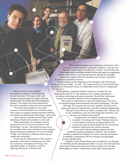"If the technical aspects are completely understood, and it is simply a market study for a particular segment, it may be very "high tech" but not what I'm looking for," he said. "On the other side, if the market need is well-documented, and the sole need is an engineering solution, then there is much less demand for disciplinary interplay." Leman encourages maximum interaction with chosen companies to achieve a successful outcome.

"A team meeting at the beginning of the semester and a final report at the end is not enough," he said. "This means we have to find Central Texas companies, or have good access to collaboration tools online to compensate for distance."

**JRIEL** 

Shama Blaney, a graduate student, worked on a project for iCyt Visionary Bioscience, Inc. last semester. The company specializes in innovative technology and science solutions. She and her teammates focused on potential markets for iCyt's emerging technology. "We looked at alternatives for using the technology in the forms of nanotechnology, pharmaceuticals and rapid prototyping," she said. Although the company was not local, students working on the project were given the opportunity to visit the company's headquarters. "We got to fly to Illinois to make a company visit," Blaney said. "It was interesting to see the technology they had there, and see how our research would apply."

Another team of students worked with PolySpec, a supplier of coatings and linings. PolySpec caters to an international market by providing products for construction and corrosion protection for commercial, industrial, institutional and marine purposes.

Leman said students analyzed opportunity and intellectual property strategies to define a new insulation product produced by PolySpec. He used university connections to establish a partnership with the company through Baylor alumnus, Buddy Ellisor.

"PolySpec owner, Buddy Ellisor, was introduced to me through Dr. Bill Petty and the development office," he said. "As I learned more about their business and how much they are doing to bring new technologies to market, I realized they would make a great sponsor."

Teams of three or four students are assigned projects at the beginning of each semester. The teams meet with company representatives to assess technical opportunities and initialize the commercialization process. The projects are then presented to the client companies at the end of the semester.

"The class trains students in the whole process of commercialization for situations where there exists an ongoing interplay between defining the market and defining the technology," Leman said.

Leman said he considers several factors when selecting companies for students to work with.

"Most importantly, the company must be doing some kind of commercialization with technology," he said. "Secondly, the issue has to be a problem that is very important to the company without being the centerpiece of its core strategy. Thirdly, I am looking for situations where we can readily stay connected."

Leman said the effectiveness of the projects depends on the state of development for both the company's emerging technology and definable market. A company in need of defining both factors is the best bet.